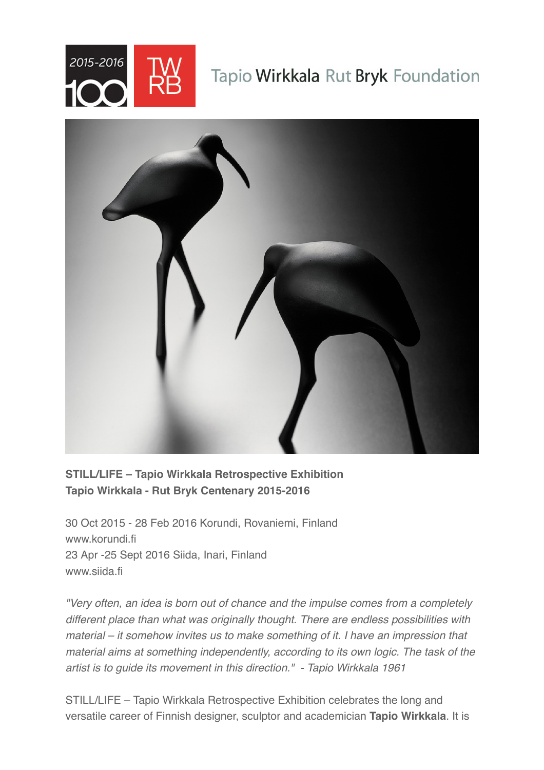

# Tapio Wirkkala Rut Bryk Foundation



# **STILL/LIFE – Tapio Wirkkala Retrospective Exhibition Tapio Wirkkala - Rut Bryk Centenary 2015-2016**

30 Oct 2015 - 28 Feb 2016 Korundi, Rovaniemi, Finland www.korundi.fi 23 Apr -25 Sept 2016 Siida, Inari, Finland www.siida.fi

*"Very often, an idea is born out of chance and the impulse comes from a completely different place than what was originally thought. There are endless possibilities with material – it somehow invites us to make something of it. I have an impression that material aims at something independently, according to its own logic. The task of the artist is to guide its movement in this direction." - Tapio Wirkkala 1961* 

STILL/LIFE – Tapio Wirkkala Retrospective Exhibition celebrates the long and versatile career of Finnish designer, sculptor and academician **Tapio Wirkkala**. It is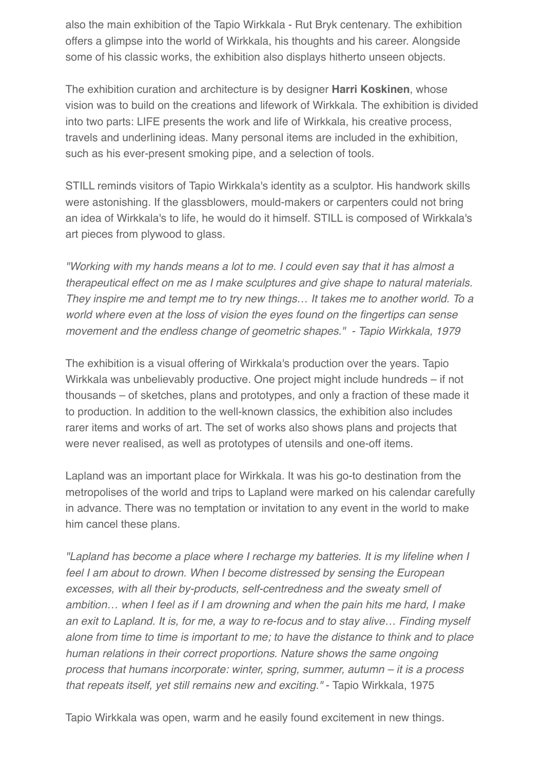also the main exhibition of the Tapio Wirkkala - Rut Bryk centenary. The exhibition offers a glimpse into the world of Wirkkala, his thoughts and his career. Alongside some of his classic works, the exhibition also displays hitherto unseen objects.

The exhibition curation and architecture is by designer **Harri Koskinen**, whose vision was to build on the creations and lifework of Wirkkala. The exhibition is divided into two parts: LIFE presents the work and life of Wirkkala, his creative process, travels and underlining ideas. Many personal items are included in the exhibition, such as his ever-present smoking pipe, and a selection of tools.

STILL reminds visitors of Tapio Wirkkala's identity as a sculptor. His handwork skills were astonishing. If the glassblowers, mould-makers or carpenters could not bring an idea of Wirkkala's to life, he would do it himself. STILL is composed of Wirkkala's art pieces from plywood to glass.

*"Working with my hands means a lot to me. I could even say that it has almost a therapeutical effect on me as I make sculptures and give shape to natural materials. They inspire me and tempt me to try new things… It takes me to another world. To a world where even at the loss of vision the eyes found on the fingertips can sense movement and the endless change of geometric shapes." - Tapio Wirkkala, 1979* 

The exhibition is a visual offering of Wirkkala's production over the years. Tapio Wirkkala was unbelievably productive. One project might include hundreds – if not thousands – of sketches, plans and prototypes, and only a fraction of these made it to production. In addition to the well-known classics, the exhibition also includes rarer items and works of art. The set of works also shows plans and projects that were never realised, as well as prototypes of utensils and one-off items.

Lapland was an important place for Wirkkala. It was his go-to destination from the metropolises of the world and trips to Lapland were marked on his calendar carefully in advance. There was no temptation or invitation to any event in the world to make him cancel these plans.

*"Lapland has become a place where I recharge my batteries. It is my lifeline when I feel I am about to drown. When I become distressed by sensing the European excesses, with all their by-products, self-centredness and the sweaty smell of ambition… when I feel as if I am drowning and when the pain hits me hard, I make an exit to Lapland. It is, for me, a way to re-focus and to stay alive… Finding myself alone from time to time is important to me; to have the distance to think and to place human relations in their correct proportions. Nature shows the same ongoing process that humans incorporate: winter, spring, summer, autumn – it is a process that repeats itself, yet still remains new and exciting."* - Tapio Wirkkala, 1975

Tapio Wirkkala was open, warm and he easily found excitement in new things.